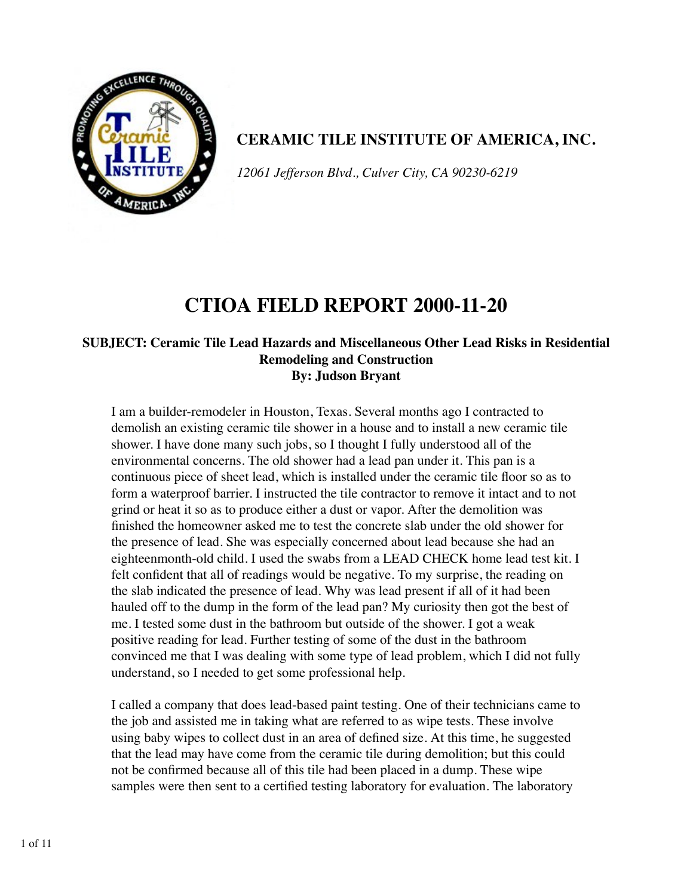

**CERAMIC TILE INSTITUTE OF AMERICA, INC.**

*12061 Jefferson Blvd., Culver City, CA 90230-6219*

# **CTIOA FIELD REPORT 2000-11-20**

#### **SUBJECT: Ceramic Tile Lead Hazards and Miscellaneous Other Lead Risks in Residential Remodeling and Construction By: Judson Bryant**

I am a builder-remodeler in Houston, Texas. Several months ago I contracted to demolish an existing ceramic tile shower in a house and to install a new ceramic tile shower. I have done many such jobs, so I thought I fully understood all of the environmental concerns. The old shower had a lead pan under it. This pan is a continuous piece of sheet lead, which is installed under the ceramic tile floor so as to form a waterproof barrier. I instructed the tile contractor to remove it intact and to not grind or heat it so as to produce either a dust or vapor. After the demolition was finished the homeowner asked me to test the concrete slab under the old shower for the presence of lead. She was especially concerned about lead because she had an eighteenmonth-old child. I used the swabs from a LEAD CHECK home lead test kit. I felt confident that all of readings would be negative. To my surprise, the reading on the slab indicated the presence of lead. Why was lead present if all of it had been hauled off to the dump in the form of the lead pan? My curiosity then got the best of me. I tested some dust in the bathroom but outside of the shower. I got a weak positive reading for lead. Further testing of some of the dust in the bathroom convinced me that I was dealing with some type of lead problem, which I did not fully understand, so I needed to get some professional help.

I called a company that does lead-based paint testing. One of their technicians came to the job and assisted me in taking what are referred to as wipe tests. These involve using baby wipes to collect dust in an area of defined size. At this time, he suggested that the lead may have come from the ceramic tile during demolition; but this could not be confirmed because all of this tile had been placed in a dump. These wipe samples were then sent to a certified testing laboratory for evaluation. The laboratory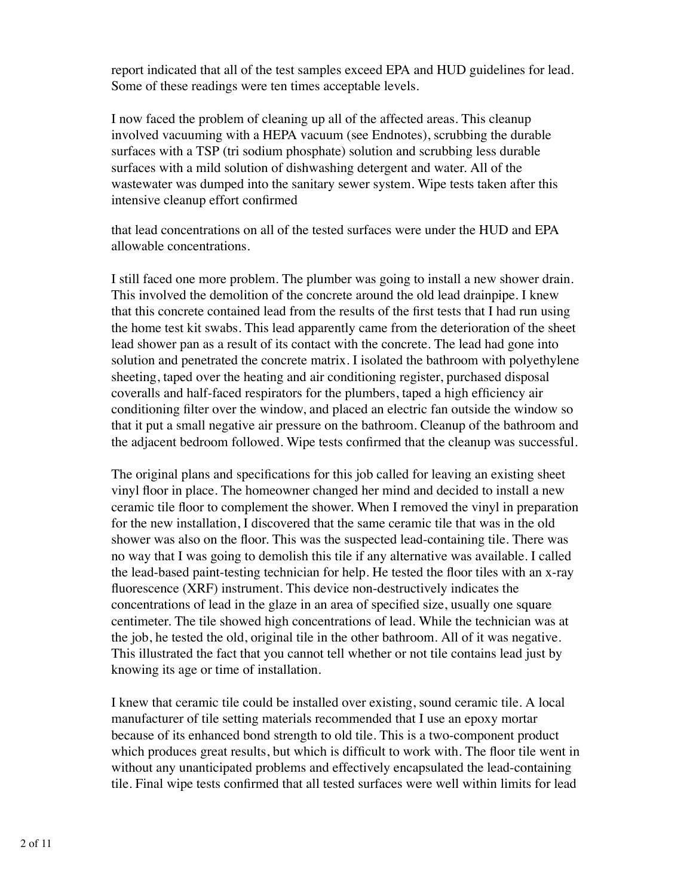report indicated that all of the test samples exceed EPA and HUD guidelines for lead. Some of these readings were ten times acceptable levels.

I now faced the problem of cleaning up all of the affected areas. This cleanup involved vacuuming with a HEPA vacuum (see Endnotes), scrubbing the durable surfaces with a TSP (tri sodium phosphate) solution and scrubbing less durable surfaces with a mild solution of dishwashing detergent and water. All of the wastewater was dumped into the sanitary sewer system. Wipe tests taken after this intensive cleanup effort confirmed

that lead concentrations on all of the tested surfaces were under the HUD and EPA allowable concentrations.

I still faced one more problem. The plumber was going to install a new shower drain. This involved the demolition of the concrete around the old lead drainpipe. I knew that this concrete contained lead from the results of the first tests that I had run using the home test kit swabs. This lead apparently came from the deterioration of the sheet lead shower pan as a result of its contact with the concrete. The lead had gone into solution and penetrated the concrete matrix. I isolated the bathroom with polyethylene sheeting, taped over the heating and air conditioning register, purchased disposal coveralls and half-faced respirators for the plumbers, taped a high efficiency air conditioning filter over the window, and placed an electric fan outside the window so that it put a small negative air pressure on the bathroom. Cleanup of the bathroom and the adjacent bedroom followed. Wipe tests confirmed that the cleanup was successful.

The original plans and specifications for this job called for leaving an existing sheet vinyl floor in place. The homeowner changed her mind and decided to install a new ceramic tile floor to complement the shower. When I removed the vinyl in preparation for the new installation, I discovered that the same ceramic tile that was in the old shower was also on the floor. This was the suspected lead-containing tile. There was no way that I was going to demolish this tile if any alternative was available. I called the lead-based paint-testing technician for help. He tested the floor tiles with an x-ray fluorescence (XRF) instrument. This device non-destructively indicates the concentrations of lead in the glaze in an area of specified size, usually one square centimeter. The tile showed high concentrations of lead. While the technician was at the job, he tested the old, original tile in the other bathroom. All of it was negative. This illustrated the fact that you cannot tell whether or not tile contains lead just by knowing its age or time of installation.

I knew that ceramic tile could be installed over existing, sound ceramic tile. A local manufacturer of tile setting materials recommended that I use an epoxy mortar because of its enhanced bond strength to old tile. This is a two-component product which produces great results, but which is difficult to work with. The floor tile went in without any unanticipated problems and effectively encapsulated the lead-containing tile. Final wipe tests confirmed that all tested surfaces were well within limits for lead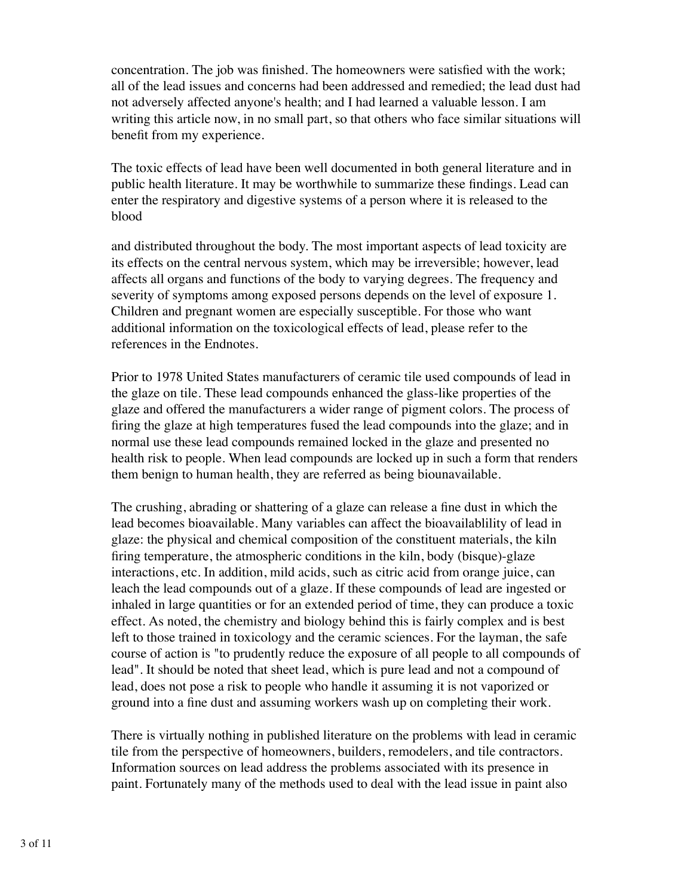concentration. The job was finished. The homeowners were satisfied with the work; all of the lead issues and concerns had been addressed and remedied; the lead dust had not adversely affected anyone's health; and I had learned a valuable lesson. I am writing this article now, in no small part, so that others who face similar situations will benefit from my experience.

The toxic effects of lead have been well documented in both general literature and in public health literature. It may be worthwhile to summarize these findings. Lead can enter the respiratory and digestive systems of a person where it is released to the blood

and distributed throughout the body. The most important aspects of lead toxicity are its effects on the central nervous system, which may be irreversible; however, lead affects all organs and functions of the body to varying degrees. The frequency and severity of symptoms among exposed persons depends on the level of exposure 1. Children and pregnant women are especially susceptible. For those who want additional information on the toxicological effects of lead, please refer to the references in the Endnotes.

Prior to 1978 United States manufacturers of ceramic tile used compounds of lead in the glaze on tile. These lead compounds enhanced the glass-like properties of the glaze and offered the manufacturers a wider range of pigment colors. The process of firing the glaze at high temperatures fused the lead compounds into the glaze; and in normal use these lead compounds remained locked in the glaze and presented no health risk to people. When lead compounds are locked up in such a form that renders them benign to human health, they are referred as being biounavailable.

The crushing, abrading or shattering of a glaze can release a fine dust in which the lead becomes bioavailable. Many variables can affect the bioavailablility of lead in glaze: the physical and chemical composition of the constituent materials, the kiln firing temperature, the atmospheric conditions in the kiln, body (bisque)-glaze interactions, etc. In addition, mild acids, such as citric acid from orange juice, can leach the lead compounds out of a glaze. If these compounds of lead are ingested or inhaled in large quantities or for an extended period of time, they can produce a toxic effect. As noted, the chemistry and biology behind this is fairly complex and is best left to those trained in toxicology and the ceramic sciences. For the layman, the safe course of action is "to prudently reduce the exposure of all people to all compounds of lead". It should be noted that sheet lead, which is pure lead and not a compound of lead, does not pose a risk to people who handle it assuming it is not vaporized or ground into a fine dust and assuming workers wash up on completing their work.

There is virtually nothing in published literature on the problems with lead in ceramic tile from the perspective of homeowners, builders, remodelers, and tile contractors. Information sources on lead address the problems associated with its presence in paint. Fortunately many of the methods used to deal with the lead issue in paint also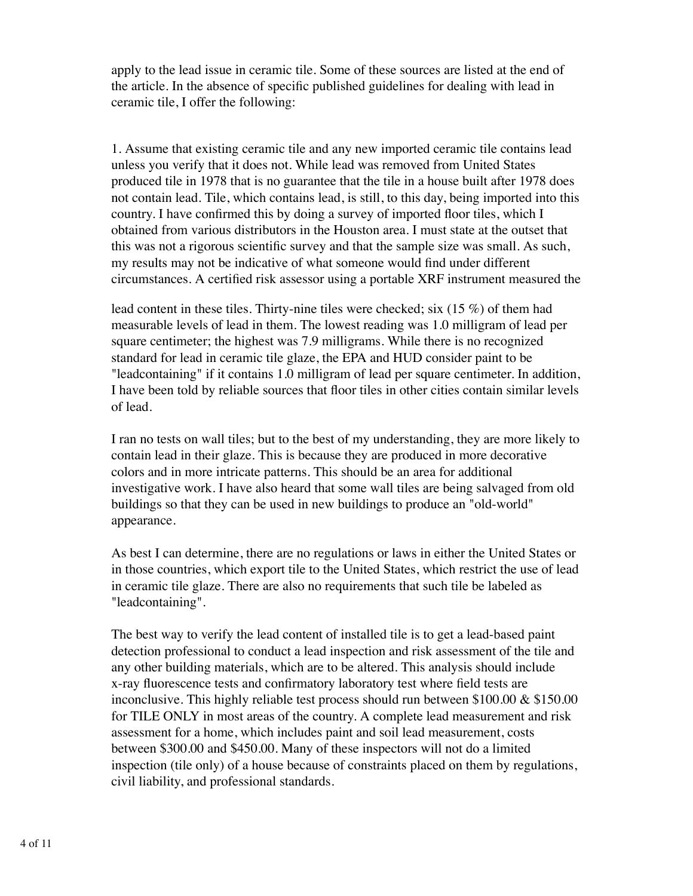apply to the lead issue in ceramic tile. Some of these sources are listed at the end of the article. In the absence of specific published guidelines for dealing with lead in ceramic tile, I offer the following:

1. Assume that existing ceramic tile and any new imported ceramic tile contains lead unless you verify that it does not. While lead was removed from United States produced tile in 1978 that is no guarantee that the tile in a house built after 1978 does not contain lead. Tile, which contains lead, is still, to this day, being imported into this country. I have confirmed this by doing a survey of imported floor tiles, which I obtained from various distributors in the Houston area. I must state at the outset that this was not a rigorous scientific survey and that the sample size was small. As such, my results may not be indicative of what someone would find under different circumstances. A certified risk assessor using a portable XRF instrument measured the

lead content in these tiles. Thirty-nine tiles were checked; six (15 %) of them had measurable levels of lead in them. The lowest reading was 1.0 milligram of lead per square centimeter; the highest was 7.9 milligrams. While there is no recognized standard for lead in ceramic tile glaze, the EPA and HUD consider paint to be "leadcontaining" if it contains 1.0 milligram of lead per square centimeter. In addition, I have been told by reliable sources that floor tiles in other cities contain similar levels of lead.

I ran no tests on wall tiles; but to the best of my understanding, they are more likely to contain lead in their glaze. This is because they are produced in more decorative colors and in more intricate patterns. This should be an area for additional investigative work. I have also heard that some wall tiles are being salvaged from old buildings so that they can be used in new buildings to produce an "old-world" appearance.

As best I can determine, there are no regulations or laws in either the United States or in those countries, which export tile to the United States, which restrict the use of lead in ceramic tile glaze. There are also no requirements that such tile be labeled as "leadcontaining".

The best way to verify the lead content of installed tile is to get a lead-based paint detection professional to conduct a lead inspection and risk assessment of the tile and any other building materials, which are to be altered. This analysis should include x-ray fluorescence tests and confirmatory laboratory test where field tests are inconclusive. This highly reliable test process should run between \$100.00 & \$150.00 for TILE ONLY in most areas of the country. A complete lead measurement and risk assessment for a home, which includes paint and soil lead measurement, costs between \$300.00 and \$450.00. Many of these inspectors will not do a limited inspection (tile only) of a house because of constraints placed on them by regulations, civil liability, and professional standards.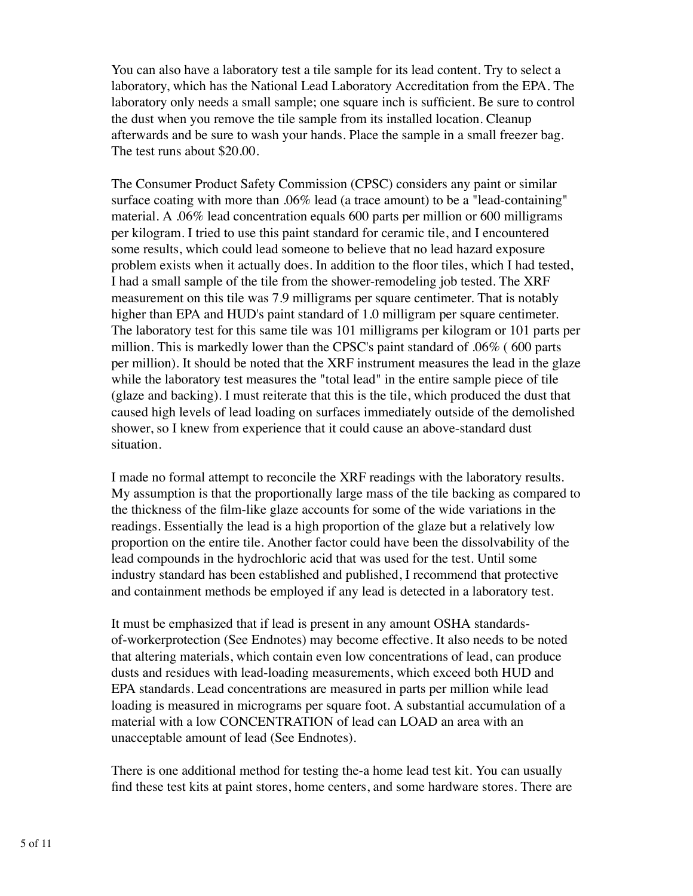You can also have a laboratory test a tile sample for its lead content. Try to select a laboratory, which has the National Lead Laboratory Accreditation from the EPA. The laboratory only needs a small sample; one square inch is sufficient. Be sure to control the dust when you remove the tile sample from its installed location. Cleanup afterwards and be sure to wash your hands. Place the sample in a small freezer bag. The test runs about \$20.00.

The Consumer Product Safety Commission (CPSC) considers any paint or similar surface coating with more than .06% lead (a trace amount) to be a "lead-containing" material. A .06% lead concentration equals 600 parts per million or 600 milligrams per kilogram. I tried to use this paint standard for ceramic tile, and I encountered some results, which could lead someone to believe that no lead hazard exposure problem exists when it actually does. In addition to the floor tiles, which I had tested, I had a small sample of the tile from the shower-remodeling job tested. The XRF measurement on this tile was 7.9 milligrams per square centimeter. That is notably higher than EPA and HUD's paint standard of 1.0 milligram per square centimeter. The laboratory test for this same tile was 101 milligrams per kilogram or 101 parts per million. This is markedly lower than the CPSC's paint standard of .06% ( 600 parts per million). It should be noted that the XRF instrument measures the lead in the glaze while the laboratory test measures the "total lead" in the entire sample piece of tile (glaze and backing). I must reiterate that this is the tile, which produced the dust that caused high levels of lead loading on surfaces immediately outside of the demolished shower, so I knew from experience that it could cause an above-standard dust situation.

I made no formal attempt to reconcile the XRF readings with the laboratory results. My assumption is that the proportionally large mass of the tile backing as compared to the thickness of the film-like glaze accounts for some of the wide variations in the readings. Essentially the lead is a high proportion of the glaze but a relatively low proportion on the entire tile. Another factor could have been the dissolvability of the lead compounds in the hydrochloric acid that was used for the test. Until some industry standard has been established and published, I recommend that protective and containment methods be employed if any lead is detected in a laboratory test.

It must be emphasized that if lead is present in any amount OSHA standardsof-workerprotection (See Endnotes) may become effective. It also needs to be noted that altering materials, which contain even low concentrations of lead, can produce dusts and residues with lead-loading measurements, which exceed both HUD and EPA standards. Lead concentrations are measured in parts per million while lead loading is measured in micrograms per square foot. A substantial accumulation of a material with a low CONCENTRATION of lead can LOAD an area with an unacceptable amount of lead (See Endnotes).

There is one additional method for testing the-a home lead test kit. You can usually find these test kits at paint stores, home centers, and some hardware stores. There are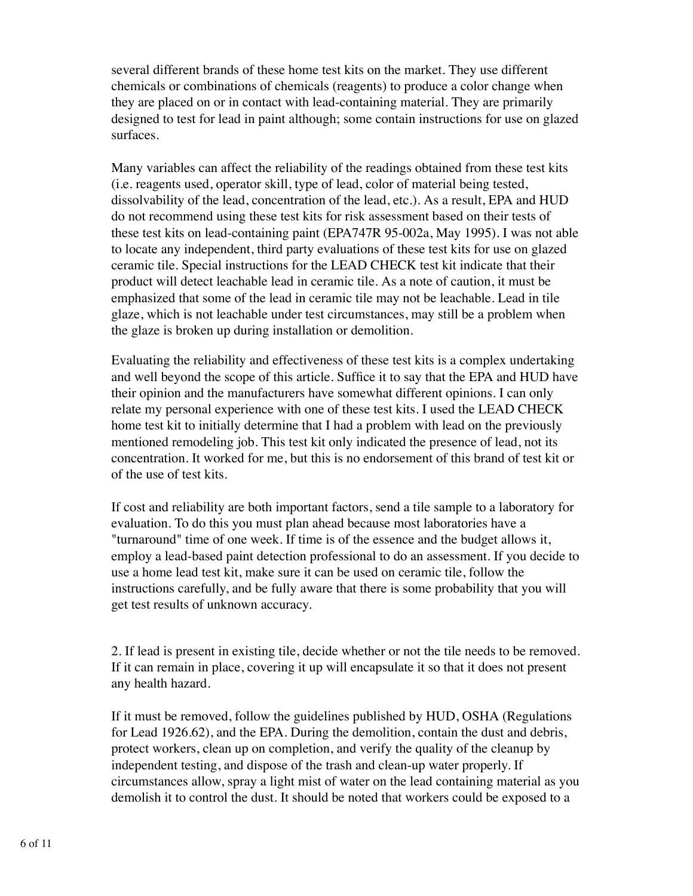several different brands of these home test kits on the market. They use different chemicals or combinations of chemicals (reagents) to produce a color change when they are placed on or in contact with lead-containing material. They are primarily designed to test for lead in paint although; some contain instructions for use on glazed surfaces.

Many variables can affect the reliability of the readings obtained from these test kits (i.e. reagents used, operator skill, type of lead, color of material being tested, dissolvability of the lead, concentration of the lead, etc.). As a result, EPA and HUD do not recommend using these test kits for risk assessment based on their tests of these test kits on lead-containing paint (EPA747R 95-002a, May 1995). I was not able to locate any independent, third party evaluations of these test kits for use on glazed ceramic tile. Special instructions for the LEAD CHECK test kit indicate that their product will detect leachable lead in ceramic tile. As a note of caution, it must be emphasized that some of the lead in ceramic tile may not be leachable. Lead in tile glaze, which is not leachable under test circumstances, may still be a problem when the glaze is broken up during installation or demolition.

Evaluating the reliability and effectiveness of these test kits is a complex undertaking and well beyond the scope of this article. Suffice it to say that the EPA and HUD have their opinion and the manufacturers have somewhat different opinions. I can only relate my personal experience with one of these test kits. I used the LEAD CHECK home test kit to initially determine that I had a problem with lead on the previously mentioned remodeling job. This test kit only indicated the presence of lead, not its concentration. It worked for me, but this is no endorsement of this brand of test kit or of the use of test kits.

If cost and reliability are both important factors, send a tile sample to a laboratory for evaluation. To do this you must plan ahead because most laboratories have a "turnaround" time of one week. If time is of the essence and the budget allows it, employ a lead-based paint detection professional to do an assessment. If you decide to use a home lead test kit, make sure it can be used on ceramic tile, follow the instructions carefully, and be fully aware that there is some probability that you will get test results of unknown accuracy.

2. If lead is present in existing tile, decide whether or not the tile needs to be removed. If it can remain in place, covering it up will encapsulate it so that it does not present any health hazard.

If it must be removed, follow the guidelines published by HUD, OSHA (Regulations for Lead 1926.62), and the EPA. During the demolition, contain the dust and debris, protect workers, clean up on completion, and verify the quality of the cleanup by independent testing, and dispose of the trash and clean-up water properly. If circumstances allow, spray a light mist of water on the lead containing material as you demolish it to control the dust. It should be noted that workers could be exposed to a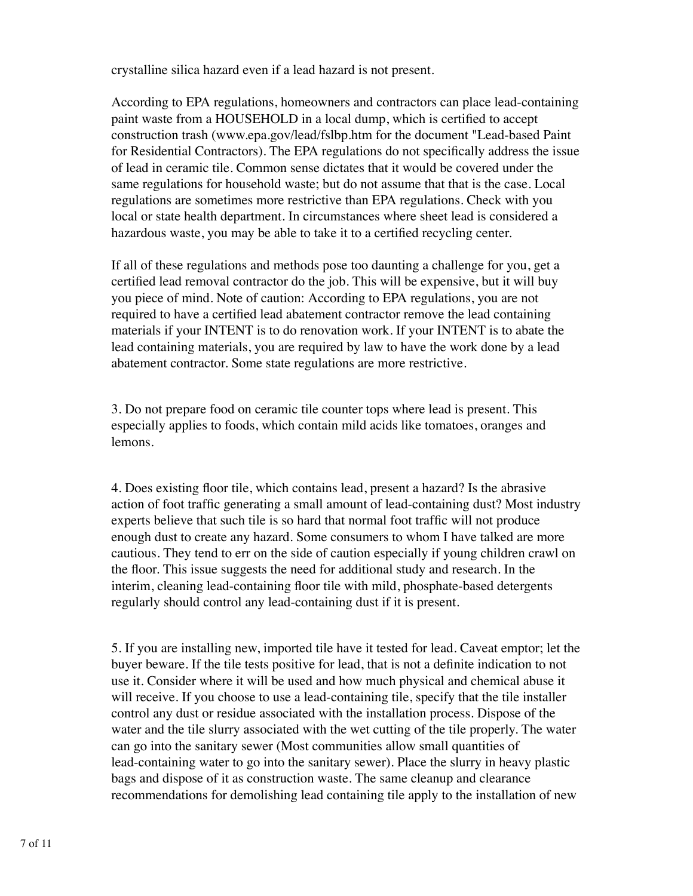crystalline silica hazard even if a lead hazard is not present.

According to EPA regulations, homeowners and contractors can place lead-containing paint waste from a HOUSEHOLD in a local dump, which is certified to accept construction trash (www.epa.gov/lead/fslbp.htm for the document "Lead-based Paint for Residential Contractors). The EPA regulations do not specifically address the issue of lead in ceramic tile. Common sense dictates that it would be covered under the same regulations for household waste; but do not assume that that is the case. Local regulations are sometimes more restrictive than EPA regulations. Check with you local or state health department. In circumstances where sheet lead is considered a hazardous waste, you may be able to take it to a certified recycling center.

If all of these regulations and methods pose too daunting a challenge for you, get a certified lead removal contractor do the job. This will be expensive, but it will buy you piece of mind. Note of caution: According to EPA regulations, you are not required to have a certified lead abatement contractor remove the lead containing materials if your INTENT is to do renovation work. If your INTENT is to abate the lead containing materials, you are required by law to have the work done by a lead abatement contractor. Some state regulations are more restrictive.

3. Do not prepare food on ceramic tile counter tops where lead is present. This especially applies to foods, which contain mild acids like tomatoes, oranges and lemons.

4. Does existing floor tile, which contains lead, present a hazard? Is the abrasive action of foot traffic generating a small amount of lead-containing dust? Most industry experts believe that such tile is so hard that normal foot traffic will not produce enough dust to create any hazard. Some consumers to whom I have talked are more cautious. They tend to err on the side of caution especially if young children crawl on the floor. This issue suggests the need for additional study and research. In the interim, cleaning lead-containing floor tile with mild, phosphate-based detergents regularly should control any lead-containing dust if it is present.

5. If you are installing new, imported tile have it tested for lead. Caveat emptor; let the buyer beware. If the tile tests positive for lead, that is not a definite indication to not use it. Consider where it will be used and how much physical and chemical abuse it will receive. If you choose to use a lead-containing tile, specify that the tile installer control any dust or residue associated with the installation process. Dispose of the water and the tile slurry associated with the wet cutting of the tile properly. The water can go into the sanitary sewer (Most communities allow small quantities of lead-containing water to go into the sanitary sewer). Place the slurry in heavy plastic bags and dispose of it as construction waste. The same cleanup and clearance recommendations for demolishing lead containing tile apply to the installation of new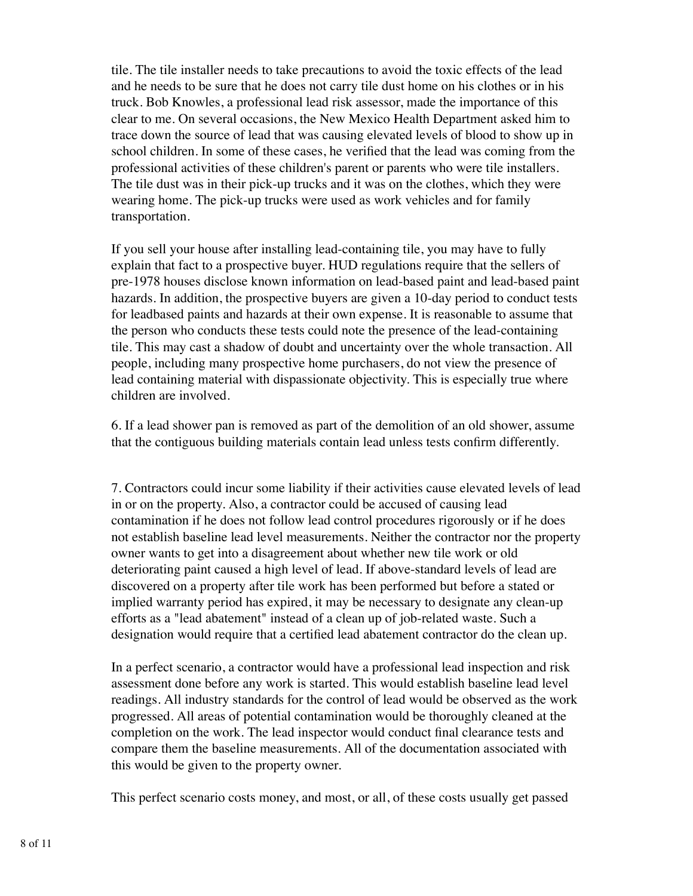tile. The tile installer needs to take precautions to avoid the toxic effects of the lead and he needs to be sure that he does not carry tile dust home on his clothes or in his truck. Bob Knowles, a professional lead risk assessor, made the importance of this clear to me. On several occasions, the New Mexico Health Department asked him to trace down the source of lead that was causing elevated levels of blood to show up in school children. In some of these cases, he verified that the lead was coming from the professional activities of these children's parent or parents who were tile installers. The tile dust was in their pick-up trucks and it was on the clothes, which they were wearing home. The pick-up trucks were used as work vehicles and for family transportation.

If you sell your house after installing lead-containing tile, you may have to fully explain that fact to a prospective buyer. HUD regulations require that the sellers of pre-1978 houses disclose known information on lead-based paint and lead-based paint hazards. In addition, the prospective buyers are given a 10-day period to conduct tests for leadbased paints and hazards at their own expense. It is reasonable to assume that the person who conducts these tests could note the presence of the lead-containing tile. This may cast a shadow of doubt and uncertainty over the whole transaction. All people, including many prospective home purchasers, do not view the presence of lead containing material with dispassionate objectivity. This is especially true where children are involved.

6. If a lead shower pan is removed as part of the demolition of an old shower, assume that the contiguous building materials contain lead unless tests confirm differently.

7. Contractors could incur some liability if their activities cause elevated levels of lead in or on the property. Also, a contractor could be accused of causing lead contamination if he does not follow lead control procedures rigorously or if he does not establish baseline lead level measurements. Neither the contractor nor the property owner wants to get into a disagreement about whether new tile work or old deteriorating paint caused a high level of lead. If above-standard levels of lead are discovered on a property after tile work has been performed but before a stated or implied warranty period has expired, it may be necessary to designate any clean-up efforts as a "lead abatement" instead of a clean up of job-related waste. Such a designation would require that a certified lead abatement contractor do the clean up.

In a perfect scenario, a contractor would have a professional lead inspection and risk assessment done before any work is started. This would establish baseline lead level readings. All industry standards for the control of lead would be observed as the work progressed. All areas of potential contamination would be thoroughly cleaned at the completion on the work. The lead inspector would conduct final clearance tests and compare them the baseline measurements. All of the documentation associated with this would be given to the property owner.

This perfect scenario costs money, and most, or all, of these costs usually get passed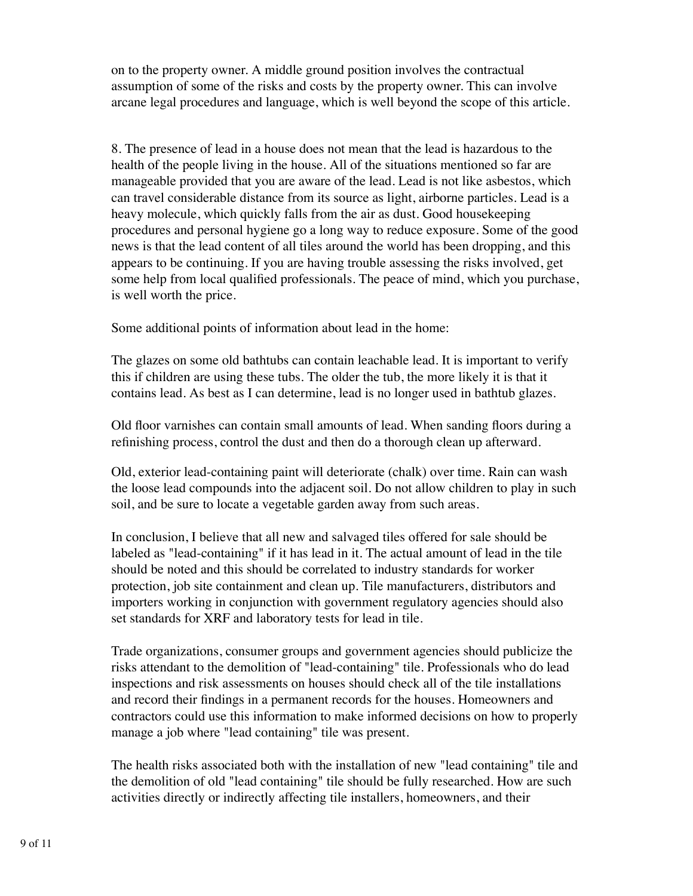on to the property owner. A middle ground position involves the contractual assumption of some of the risks and costs by the property owner. This can involve arcane legal procedures and language, which is well beyond the scope of this article.

8. The presence of lead in a house does not mean that the lead is hazardous to the health of the people living in the house. All of the situations mentioned so far are manageable provided that you are aware of the lead. Lead is not like asbestos, which can travel considerable distance from its source as light, airborne particles. Lead is a heavy molecule, which quickly falls from the air as dust. Good housekeeping procedures and personal hygiene go a long way to reduce exposure. Some of the good news is that the lead content of all tiles around the world has been dropping, and this appears to be continuing. If you are having trouble assessing the risks involved, get some help from local qualified professionals. The peace of mind, which you purchase, is well worth the price.

Some additional points of information about lead in the home:

The glazes on some old bathtubs can contain leachable lead. It is important to verify this if children are using these tubs. The older the tub, the more likely it is that it contains lead. As best as I can determine, lead is no longer used in bathtub glazes.

Old floor varnishes can contain small amounts of lead. When sanding floors during a refinishing process, control the dust and then do a thorough clean up afterward.

Old, exterior lead-containing paint will deteriorate (chalk) over time. Rain can wash the loose lead compounds into the adjacent soil. Do not allow children to play in such soil, and be sure to locate a vegetable garden away from such areas.

In conclusion, I believe that all new and salvaged tiles offered for sale should be labeled as "lead-containing" if it has lead in it. The actual amount of lead in the tile should be noted and this should be correlated to industry standards for worker protection, job site containment and clean up. Tile manufacturers, distributors and importers working in conjunction with government regulatory agencies should also set standards for XRF and laboratory tests for lead in tile.

Trade organizations, consumer groups and government agencies should publicize the risks attendant to the demolition of "lead-containing" tile. Professionals who do lead inspections and risk assessments on houses should check all of the tile installations and record their findings in a permanent records for the houses. Homeowners and contractors could use this information to make informed decisions on how to properly manage a job where "lead containing" tile was present.

The health risks associated both with the installation of new "lead containing" tile and the demolition of old "lead containing" tile should be fully researched. How are such activities directly or indirectly affecting tile installers, homeowners, and their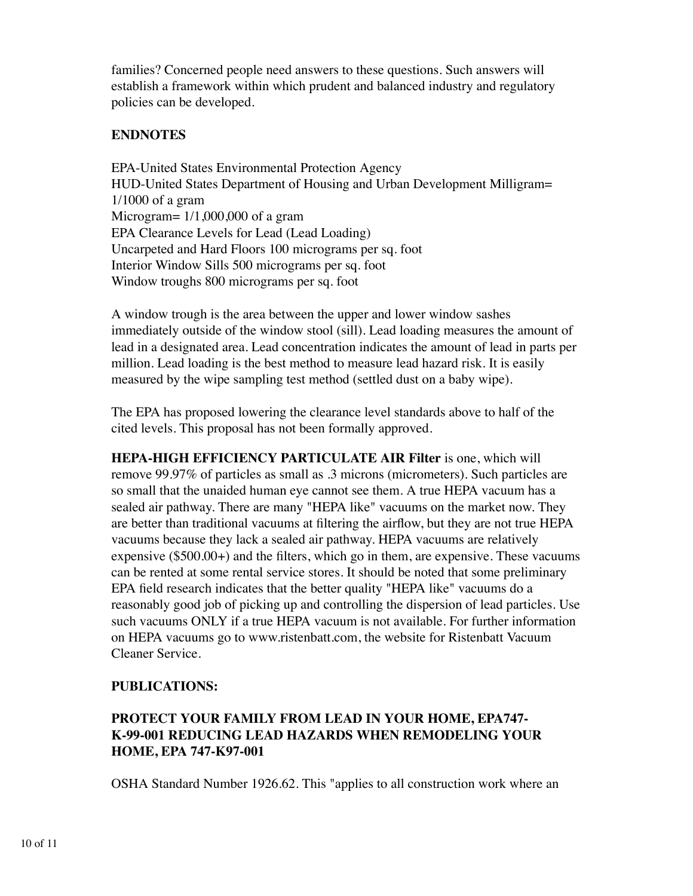families? Concerned people need answers to these questions. Such answers will establish a framework within which prudent and balanced industry and regulatory policies can be developed.

### **ENDNOTES**

EPA-United States Environmental Protection Agency HUD-United States Department of Housing and Urban Development Milligram= 1/1000 of a gram Microgram= 1/1,000,000 of a gram EPA Clearance Levels for Lead (Lead Loading) Uncarpeted and Hard Floors 100 micrograms per sq. foot Interior Window Sills 500 micrograms per sq. foot Window troughs 800 micrograms per sq. foot

A window trough is the area between the upper and lower window sashes immediately outside of the window stool (sill). Lead loading measures the amount of lead in a designated area. Lead concentration indicates the amount of lead in parts per million. Lead loading is the best method to measure lead hazard risk. It is easily measured by the wipe sampling test method (settled dust on a baby wipe).

The EPA has proposed lowering the clearance level standards above to half of the cited levels. This proposal has not been formally approved.

**HEPA-HIGH EFFICIENCY PARTICULATE AIR Filter** is one, which will remove 99.97% of particles as small as .3 microns (micrometers). Such particles are so small that the unaided human eye cannot see them. A true HEPA vacuum has a sealed air pathway. There are many "HEPA like" vacuums on the market now. They are better than traditional vacuums at filtering the airflow, but they are not true HEPA vacuums because they lack a sealed air pathway. HEPA vacuums are relatively expensive (\$500.00+) and the filters, which go in them, are expensive. These vacuums can be rented at some rental service stores. It should be noted that some preliminary EPA field research indicates that the better quality "HEPA like" vacuums do a reasonably good job of picking up and controlling the dispersion of lead particles. Use such vacuums ONLY if a true HEPA vacuum is not available. For further information on HEPA vacuums go to www.ristenbatt.com, the website for Ristenbatt Vacuum Cleaner Service.

### **PUBLICATIONS:**

## **PROTECT YOUR FAMILY FROM LEAD IN YOUR HOME, EPA747- K-99-001 REDUCING LEAD HAZARDS WHEN REMODELING YOUR HOME, EPA 747-K97-001**

OSHA Standard Number 1926.62. This "applies to all construction work where an